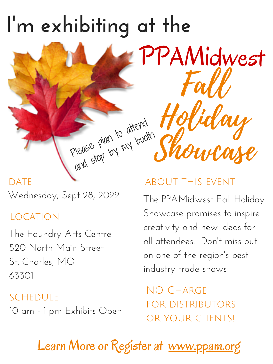## location

about this event

Wednesday, Sept 28, 2022

The Foundry Arts Centre 520 North Main Street St. Charles, MO 63301

## Fall Holiday Showcase **I' m exhibiting at the** Please plan to attend and stop by my booth PPAMidwest

DATE

schedule 10 am - 1 pm Exhibits Open

NO CHARGE for distributors or your clients!

Learn More or Register at [www.ppam.org](http://www.ppam.org/)

The PPAMidwest Fall Holiday Showcase promises to inspire creativity and new ideas for all attendees. Don 't miss out on one of the region 's best industry trade shows!